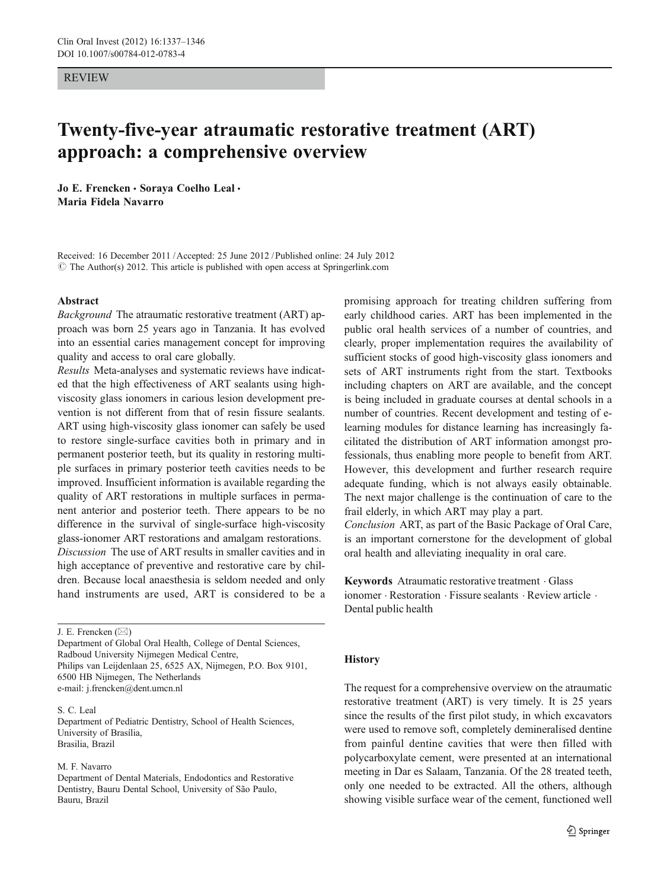#### REVIEW

# Twenty-five-year atraumatic restorative treatment (ART) approach: a comprehensive overview

Jo E. Frencken · Soraya Coelho Leal · Maria Fidela Navarro

Received: 16 December 2011 /Accepted: 25 June 2012 / Published online: 24 July 2012  $\odot$  The Author(s) 2012. This article is published with open access at Springerlink.com

# Abstract

Background The atraumatic restorative treatment (ART) approach was born 25 years ago in Tanzania. It has evolved into an essential caries management concept for improving quality and access to oral care globally.

Results Meta-analyses and systematic reviews have indicated that the high effectiveness of ART sealants using highviscosity glass ionomers in carious lesion development prevention is not different from that of resin fissure sealants. ART using high-viscosity glass ionomer can safely be used to restore single-surface cavities both in primary and in permanent posterior teeth, but its quality in restoring multiple surfaces in primary posterior teeth cavities needs to be improved. Insufficient information is available regarding the quality of ART restorations in multiple surfaces in permanent anterior and posterior teeth. There appears to be no difference in the survival of single-surface high-viscosity glass-ionomer ART restorations and amalgam restorations. Discussion The use of ART results in smaller cavities and in high acceptance of preventive and restorative care by children. Because local anaesthesia is seldom needed and only hand instruments are used, ART is considered to be a

J. E. Frencken  $(\boxtimes)$ 

Department of Global Oral Health, College of Dental Sciences, Radboud University Nijmegen Medical Centre, Philips van Leijdenlaan 25, 6525 AX, Nijmegen, P.O. Box 9101, 6500 HB Nijmegen, The Netherlands e-mail: j.frencken@dent.umcn.nl

S. C. Leal Department of Pediatric Dentistry, School of Health Sciences, University of Brasília, Brasilia, Brazil

M. F. Navarro

Department of Dental Materials, Endodontics and Restorative Dentistry, Bauru Dental School, University of São Paulo, Bauru, Brazil

promising approach for treating children suffering from early childhood caries. ART has been implemented in the public oral health services of a number of countries, and clearly, proper implementation requires the availability of sufficient stocks of good high-viscosity glass ionomers and sets of ART instruments right from the start. Textbooks including chapters on ART are available, and the concept is being included in graduate courses at dental schools in a number of countries. Recent development and testing of elearning modules for distance learning has increasingly facilitated the distribution of ART information amongst professionals, thus enabling more people to benefit from ART. However, this development and further research require adequate funding, which is not always easily obtainable. The next major challenge is the continuation of care to the frail elderly, in which ART may play a part.

Conclusion ART, as part of the Basic Package of Oral Care, is an important cornerstone for the development of global oral health and alleviating inequality in oral care.

Keywords Atraumatic restorative treatment · Glass ionomer . Restoration . Fissure sealants . Review article . Dental public health

# **History**

The request for a comprehensive overview on the atraumatic restorative treatment (ART) is very timely. It is 25 years since the results of the first pilot study, in which excavators were used to remove soft, completely demineralised dentine from painful dentine cavities that were then filled with polycarboxylate cement, were presented at an international meeting in Dar es Salaam, Tanzania. Of the 28 treated teeth, only one needed to be extracted. All the others, although showing visible surface wear of the cement, functioned well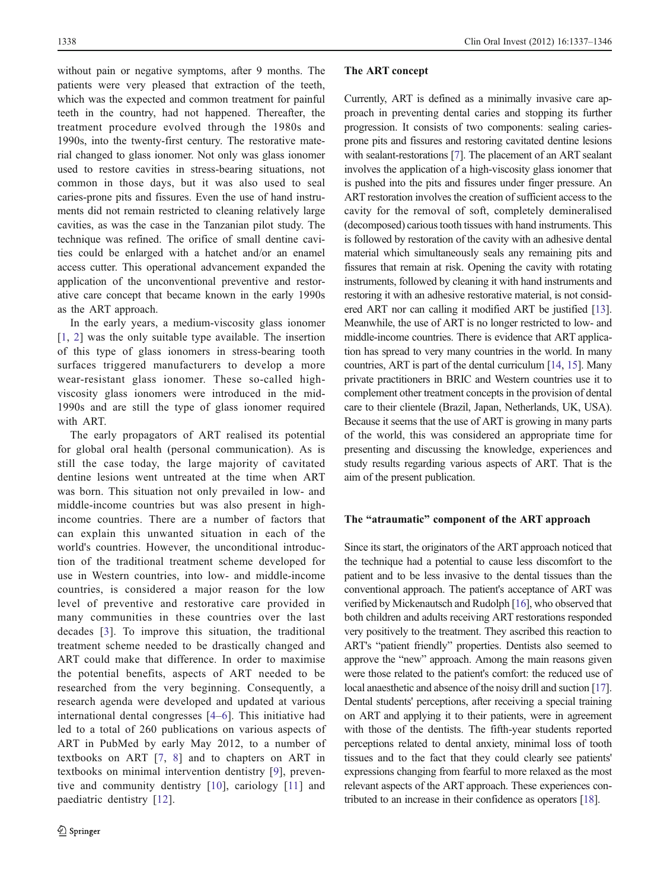without pain or negative symptoms, after 9 months. The patients were very pleased that extraction of the teeth, which was the expected and common treatment for painful teeth in the country, had not happened. Thereafter, the treatment procedure evolved through the 1980s and 1990s, into the twenty-first century. The restorative material changed to glass ionomer. Not only was glass ionomer used to restore cavities in stress-bearing situations, not common in those days, but it was also used to seal caries-prone pits and fissures. Even the use of hand instruments did not remain restricted to cleaning relatively large cavities, as was the case in the Tanzanian pilot study. The technique was refined. The orifice of small dentine cavities could be enlarged with a hatchet and/or an enamel access cutter. This operational advancement expanded the application of the unconventional preventive and restorative care concept that became known in the early 1990s as the ART approach.

In the early years, a medium-viscosity glass ionomer [\[1](#page-7-0), [2\]](#page-7-0) was the only suitable type available. The insertion of this type of glass ionomers in stress-bearing tooth surfaces triggered manufacturers to develop a more wear-resistant glass ionomer. These so-called highviscosity glass ionomers were introduced in the mid-1990s and are still the type of glass ionomer required with ART.

The early propagators of ART realised its potential for global oral health (personal communication). As is still the case today, the large majority of cavitated dentine lesions went untreated at the time when ART was born. This situation not only prevailed in low- and middle-income countries but was also present in highincome countries. There are a number of factors that can explain this unwanted situation in each of the world's countries. However, the unconditional introduction of the traditional treatment scheme developed for use in Western countries, into low- and middle-income countries, is considered a major reason for the low level of preventive and restorative care provided in many communities in these countries over the last decades [\[3\]](#page-7-0). To improve this situation, the traditional treatment scheme needed to be drastically changed and ART could make that difference. In order to maximise the potential benefits, aspects of ART needed to be researched from the very beginning. Consequently, a research agenda were developed and updated at various international dental congresses [[4](#page-7-0)–[6](#page-7-0)]. This initiative had led to a total of 260 publications on various aspects of ART in PubMed by early May 2012, to a number of textbooks on ART [[7,](#page-7-0) [8\]](#page-7-0) and to chapters on ART in textbooks on minimal intervention dentistry [[9](#page-7-0)], preventive and community dentistry [\[10\]](#page-7-0), cariology [[11](#page-7-0)] and paediatric dentistry [[12\]](#page-7-0).

#### The ART concept

Currently, ART is defined as a minimally invasive care approach in preventing dental caries and stopping its further progression. It consists of two components: sealing cariesprone pits and fissures and restoring cavitated dentine lesions with sealant-restorations [\[7\]](#page-7-0). The placement of an ART sealant involves the application of a high-viscosity glass ionomer that is pushed into the pits and fissures under finger pressure. An ART restoration involves the creation of sufficient access to the cavity for the removal of soft, completely demineralised (decomposed) carious tooth tissues with hand instruments. This is followed by restoration of the cavity with an adhesive dental material which simultaneously seals any remaining pits and fissures that remain at risk. Opening the cavity with rotating instruments, followed by cleaning it with hand instruments and restoring it with an adhesive restorative material, is not considered ART nor can calling it modified ART be justified [\[13\]](#page-7-0). Meanwhile, the use of ART is no longer restricted to low- and middle-income countries. There is evidence that ART application has spread to very many countries in the world. In many countries, ART is part of the dental curriculum [[14](#page-7-0), [15\]](#page-7-0). Many private practitioners in BRIC and Western countries use it to complement other treatment concepts in the provision of dental care to their clientele (Brazil, Japan, Netherlands, UK, USA). Because it seems that the use of ART is growing in many parts of the world, this was considered an appropriate time for presenting and discussing the knowledge, experiences and study results regarding various aspects of ART. That is the aim of the present publication.

#### The "atraumatic" component of the ART approach

Since its start, the originators of the ART approach noticed that the technique had a potential to cause less discomfort to the patient and to be less invasive to the dental tissues than the conventional approach. The patient's acceptance of ART was verified by Mickenautsch and Rudolph [\[16\]](#page-7-0), who observed that both children and adults receiving ART restorations responded very positively to the treatment. They ascribed this reaction to ART's "patient friendly" properties. Dentists also seemed to approve the "new" approach. Among the main reasons given were those related to the patient's comfort: the reduced use of local anaesthetic and absence of the noisy drill and suction [\[17\]](#page-7-0). Dental students' perceptions, after receiving a special training on ART and applying it to their patients, were in agreement with those of the dentists. The fifth-year students reported perceptions related to dental anxiety, minimal loss of tooth tissues and to the fact that they could clearly see patients' expressions changing from fearful to more relaxed as the most relevant aspects of the ART approach. These experiences contributed to an increase in their confidence as operators [[18](#page-7-0)].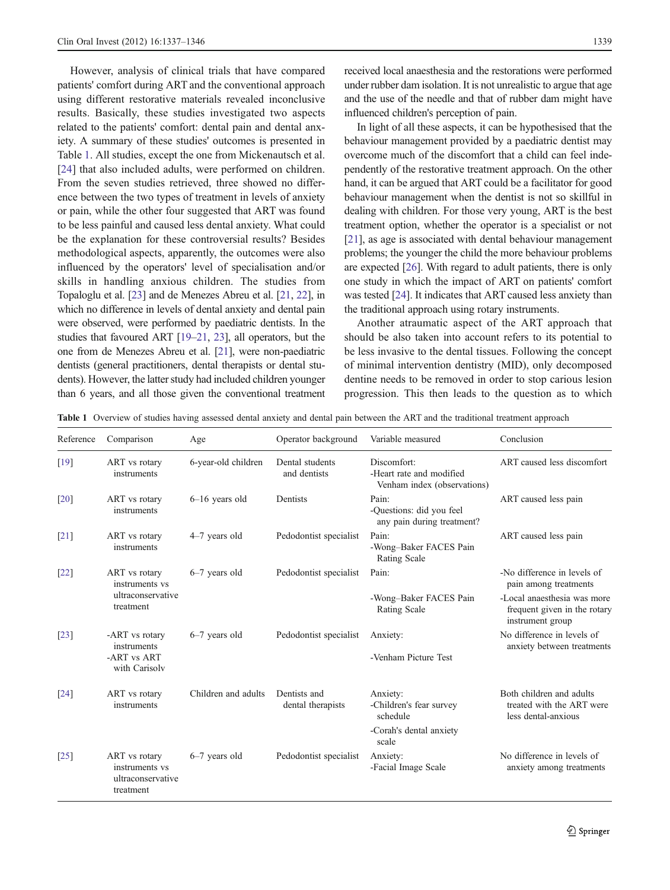However, analysis of clinical trials that have compared patients' comfort during ART and the conventional approach using different restorative materials revealed inconclusive results. Basically, these studies investigated two aspects related to the patients' comfort: dental pain and dental anxiety. A summary of these studies' outcomes is presented in Table 1. All studies, except the one from Mickenautsch et al. [\[24](#page-7-0)] that also included adults, were performed on children. From the seven studies retrieved, three showed no difference between the two types of treatment in levels of anxiety or pain, while the other four suggested that ART was found to be less painful and caused less dental anxiety. What could be the explanation for these controversial results? Besides methodological aspects, apparently, the outcomes were also influenced by the operators' level of specialisation and/or skills in handling anxious children. The studies from Topaloglu et al. [\[23\]](#page-7-0) and de Menezes Abreu et al. [\[21,](#page-7-0) [22](#page-7-0)], in which no difference in levels of dental anxiety and dental pain were observed, were performed by paediatric dentists. In the studies that favoured ART [\[19](#page-7-0)–[21](#page-7-0), [23\]](#page-7-0), all operators, but the one from de Menezes Abreu et al. [[21](#page-7-0)], were non-paediatric dentists (general practitioners, dental therapists or dental students). However, the latter study had included children younger than 6 years, and all those given the conventional treatment

received local anaesthesia and the restorations were performed under rubber dam isolation. It is not unrealistic to argue that age and the use of the needle and that of rubber dam might have influenced children's perception of pain.

In light of all these aspects, it can be hypothesised that the behaviour management provided by a paediatric dentist may overcome much of the discomfort that a child can feel independently of the restorative treatment approach. On the other hand, it can be argued that ART could be a facilitator for good behaviour management when the dentist is not so skillful in dealing with children. For those very young, ART is the best treatment option, whether the operator is a specialist or not [\[21](#page-7-0)], as age is associated with dental behaviour management problems; the younger the child the more behaviour problems are expected [[26\]](#page-8-0). With regard to adult patients, there is only one study in which the impact of ART on patients' comfort was tested [\[24](#page-7-0)]. It indicates that ART caused less anxiety than the traditional approach using rotary instruments.

Another atraumatic aspect of the ART approach that should be also taken into account refers to its potential to be less invasive to the dental tissues. Following the concept of minimal intervention dentistry (MID), only decomposed dentine needs to be removed in order to stop carious lesion progression. This then leads to the question as to which

Table 1 Overview of studies having assessed dental anxiety and dental pain between the ART and the traditional treatment approach

| Reference | Comparison                                                        | Age                 | Operator background               | Variable measured                                                          | Conclusion                                                                      |
|-----------|-------------------------------------------------------------------|---------------------|-----------------------------------|----------------------------------------------------------------------------|---------------------------------------------------------------------------------|
| [19]      | ART vs rotary<br>instruments                                      | 6-year-old children | Dental students<br>and dentists   | Discomfort:<br>-Heart rate and modified<br>Venham index (observations)     | ART caused less discomfort                                                      |
| [20]      | ART vs rotary<br>instruments                                      | $6-16$ years old    | Dentists                          | Pain:<br>-Questions: did you feel<br>any pain during treatment?            | ART caused less pain                                                            |
| [21]      | ART vs rotary<br>instruments                                      | 4–7 years old       | Pedodontist specialist            | Pain:<br>-Wong-Baker FACES Pain<br><b>Rating Scale</b>                     | ART caused less pain                                                            |
| [22]      | ART vs rotary<br>instruments vs<br>ultraconservative<br>treatment | $6-7$ years old     | Pedodontist specialist            | Pain:                                                                      | -No difference in levels of<br>pain among treatments                            |
|           |                                                                   |                     |                                   | -Wong-Baker FACES Pain<br><b>Rating Scale</b>                              | -Local anaesthesia was more<br>frequent given in the rotary<br>instrument group |
| [23]      | -ART vs rotary<br>instruments<br>-ART vs ART<br>with Carisolv     | $6-7$ years old     | Pedodontist specialist            | Anxiety:                                                                   | No difference in levels of<br>anxiety between treatments                        |
|           |                                                                   |                     |                                   | -Venham Picture Test                                                       |                                                                                 |
| [24]      | ART vs rotary<br>instruments                                      | Children and adults | Dentists and<br>dental therapists | Anxiety:<br>-Children's fear survey<br>schedule<br>-Corah's dental anxiety | Both children and adults<br>treated with the ART were<br>less dental-anxious    |
| [25]      | ART vs rotary<br>instruments vs<br>ultraconservative<br>treatment | $6-7$ years old     | Pedodontist specialist            | scale<br>Anxiety:<br>-Facial Image Scale                                   | No difference in levels of<br>anxiety among treatments                          |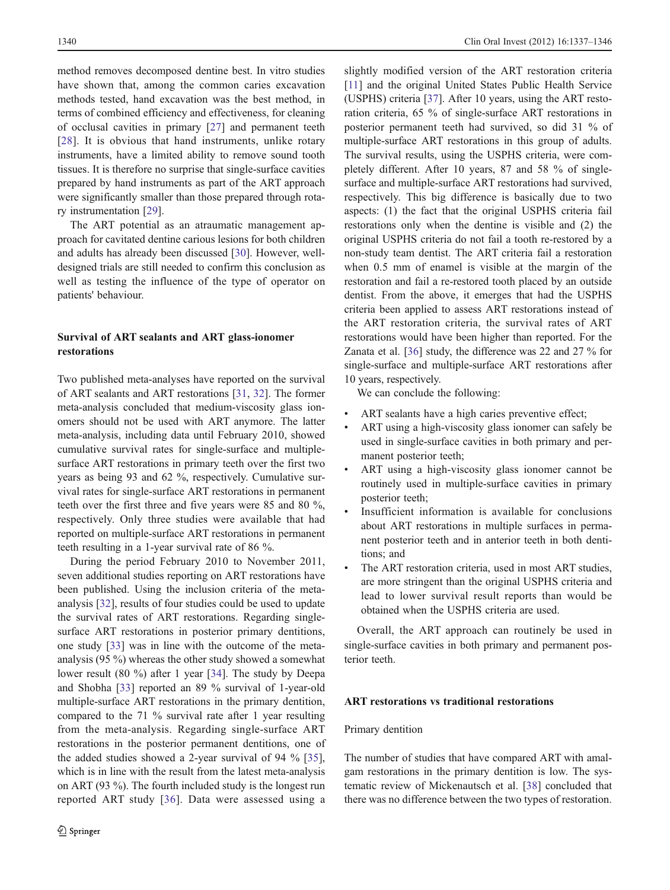method removes decomposed dentine best. In vitro studies have shown that, among the common caries excavation methods tested, hand excavation was the best method, in terms of combined efficiency and effectiveness, for cleaning of occlusal cavities in primary [[27\]](#page-8-0) and permanent teeth [\[28\]](#page-8-0). It is obvious that hand instruments, unlike rotary instruments, have a limited ability to remove sound tooth tissues. It is therefore no surprise that single-surface cavities prepared by hand instruments as part of the ART approach were significantly smaller than those prepared through rotary instrumentation [\[29](#page-8-0)].

The ART potential as an atraumatic management approach for cavitated dentine carious lesions for both children and adults has already been discussed [[30\]](#page-8-0). However, welldesigned trials are still needed to confirm this conclusion as well as testing the influence of the type of operator on patients' behaviour.

# Survival of ART sealants and ART glass-ionomer restorations

Two published meta-analyses have reported on the survival of ART sealants and ART restorations [[31,](#page-8-0) [32](#page-8-0)]. The former meta-analysis concluded that medium-viscosity glass ionomers should not be used with ART anymore. The latter meta-analysis, including data until February 2010, showed cumulative survival rates for single-surface and multiplesurface ART restorations in primary teeth over the first two years as being 93 and 62 %, respectively. Cumulative survival rates for single-surface ART restorations in permanent teeth over the first three and five years were 85 and 80 %, respectively. Only three studies were available that had reported on multiple-surface ART restorations in permanent teeth resulting in a 1-year survival rate of 86 %.

During the period February 2010 to November 2011, seven additional studies reporting on ART restorations have been published. Using the inclusion criteria of the metaanalysis [[32\]](#page-8-0), results of four studies could be used to update the survival rates of ART restorations. Regarding singlesurface ART restorations in posterior primary dentitions, one study [[33\]](#page-8-0) was in line with the outcome of the metaanalysis (95 %) whereas the other study showed a somewhat lower result (80 %) after 1 year [\[34](#page-8-0)]. The study by Deepa and Shobha [\[33](#page-8-0)] reported an 89 % survival of 1-year-old multiple-surface ART restorations in the primary dentition, compared to the 71 % survival rate after 1 year resulting from the meta-analysis. Regarding single-surface ART restorations in the posterior permanent dentitions, one of the added studies showed a 2-year survival of 94 % [\[35](#page-8-0)], which is in line with the result from the latest meta-analysis on ART (93 %). The fourth included study is the longest run reported ART study [[36\]](#page-8-0). Data were assessed using a

slightly modified version of the ART restoration criteria [\[11](#page-7-0)] and the original United States Public Health Service (USPHS) criteria [[37\]](#page-8-0). After 10 years, using the ART restoration criteria, 65 % of single-surface ART restorations in posterior permanent teeth had survived, so did 31 % of multiple-surface ART restorations in this group of adults. The survival results, using the USPHS criteria, were completely different. After 10 years, 87 and 58 % of singlesurface and multiple-surface ART restorations had survived, respectively. This big difference is basically due to two aspects: (1) the fact that the original USPHS criteria fail restorations only when the dentine is visible and (2) the original USPHS criteria do not fail a tooth re-restored by a non-study team dentist. The ART criteria fail a restoration when 0.5 mm of enamel is visible at the margin of the restoration and fail a re-restored tooth placed by an outside dentist. From the above, it emerges that had the USPHS criteria been applied to assess ART restorations instead of the ART restoration criteria, the survival rates of ART restorations would have been higher than reported. For the Zanata et al. [\[36](#page-8-0)] study, the difference was 22 and 27 % for single-surface and multiple-surface ART restorations after 10 years, respectively.

We can conclude the following:

- ART sealants have a high caries preventive effect;
- ART using a high-viscosity glass ionomer can safely be used in single-surface cavities in both primary and permanent posterior teeth;
- & ART using a high-viscosity glass ionomer cannot be routinely used in multiple-surface cavities in primary posterior teeth;
- Insufficient information is available for conclusions about ART restorations in multiple surfaces in permanent posterior teeth and in anterior teeth in both dentitions; and
- The ART restoration criteria, used in most ART studies, are more stringent than the original USPHS criteria and lead to lower survival result reports than would be obtained when the USPHS criteria are used.

Overall, the ART approach can routinely be used in single-surface cavities in both primary and permanent posterior teeth.

# ART restorations vs traditional restorations

# Primary dentition

The number of studies that have compared ART with amalgam restorations in the primary dentition is low. The systematic review of Mickenautsch et al. [[38\]](#page-8-0) concluded that there was no difference between the two types of restoration.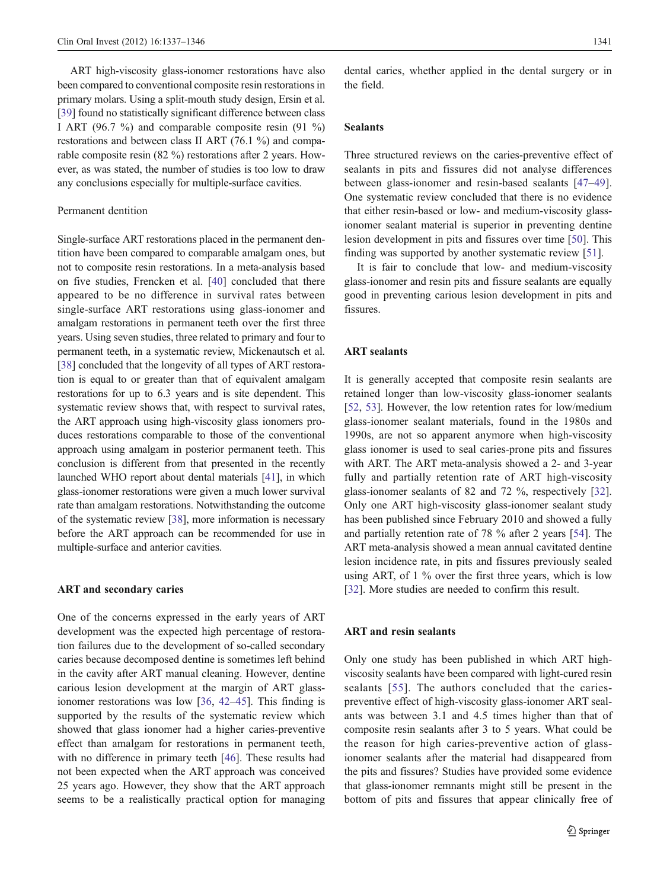ART high-viscosity glass-ionomer restorations have also been compared to conventional composite resin restorations in primary molars. Using a split-mouth study design, Ersin et al. [\[39\]](#page-8-0) found no statistically significant difference between class I ART (96.7  $\%$ ) and comparable composite resin (91  $\%$ ) restorations and between class II ART (76.1 %) and comparable composite resin (82 %) restorations after 2 years. However, as was stated, the number of studies is too low to draw any conclusions especially for multiple-surface cavities.

# Permanent dentition

Single-surface ART restorations placed in the permanent dentition have been compared to comparable amalgam ones, but not to composite resin restorations. In a meta-analysis based on five studies, Frencken et al. [\[40](#page-8-0)] concluded that there appeared to be no difference in survival rates between single-surface ART restorations using glass-ionomer and amalgam restorations in permanent teeth over the first three years. Using seven studies, three related to primary and four to permanent teeth, in a systematic review, Mickenautsch et al. [\[38\]](#page-8-0) concluded that the longevity of all types of ART restoration is equal to or greater than that of equivalent amalgam restorations for up to 6.3 years and is site dependent. This systematic review shows that, with respect to survival rates, the ART approach using high-viscosity glass ionomers produces restorations comparable to those of the conventional approach using amalgam in posterior permanent teeth. This conclusion is different from that presented in the recently launched WHO report about dental materials [[41\]](#page-8-0), in which glass-ionomer restorations were given a much lower survival rate than amalgam restorations. Notwithstanding the outcome of the systematic review [[38](#page-8-0)], more information is necessary before the ART approach can be recommended for use in multiple-surface and anterior cavities.

## ART and secondary caries

One of the concerns expressed in the early years of ART development was the expected high percentage of restoration failures due to the development of so-called secondary caries because decomposed dentine is sometimes left behind in the cavity after ART manual cleaning. However, dentine carious lesion development at the margin of ART glassionomer restorations was low [\[36](#page-8-0), [42](#page-8-0)–[45\]](#page-8-0). This finding is supported by the results of the systematic review which showed that glass ionomer had a higher caries-preventive effect than amalgam for restorations in permanent teeth, with no difference in primary teeth [[46\]](#page-8-0). These results had not been expected when the ART approach was conceived 25 years ago. However, they show that the ART approach seems to be a realistically practical option for managing dental caries, whether applied in the dental surgery or in the field.

# Sealants

Three structured reviews on the caries-preventive effect of sealants in pits and fissures did not analyse differences between glass-ionomer and resin-based sealants [\[47](#page-8-0)–[49](#page-8-0)]. One systematic review concluded that there is no evidence that either resin-based or low- and medium-viscosity glassionomer sealant material is superior in preventing dentine lesion development in pits and fissures over time [\[50](#page-8-0)]. This finding was supported by another systematic review [\[51](#page-8-0)].

It is fair to conclude that low- and medium-viscosity glass-ionomer and resin pits and fissure sealants are equally good in preventing carious lesion development in pits and fissures.

# ART sealants

It is generally accepted that composite resin sealants are retained longer than low-viscosity glass-ionomer sealants [\[52](#page-8-0), [53](#page-8-0)]. However, the low retention rates for low/medium glass-ionomer sealant materials, found in the 1980s and 1990s, are not so apparent anymore when high-viscosity glass ionomer is used to seal caries-prone pits and fissures with ART. The ART meta-analysis showed a 2- and 3-year fully and partially retention rate of ART high-viscosity glass-ionomer sealants of 82 and 72 %, respectively [[32\]](#page-8-0). Only one ART high-viscosity glass-ionomer sealant study has been published since February 2010 and showed a fully and partially retention rate of 78 % after 2 years [[54\]](#page-8-0). The ART meta-analysis showed a mean annual cavitated dentine lesion incidence rate, in pits and fissures previously sealed using ART, of 1 % over the first three years, which is low [\[32](#page-8-0)]. More studies are needed to confirm this result.

# ART and resin sealants

Only one study has been published in which ART highviscosity sealants have been compared with light-cured resin sealants [[55](#page-8-0)]. The authors concluded that the cariespreventive effect of high-viscosity glass-ionomer ART sealants was between 3.1 and 4.5 times higher than that of composite resin sealants after 3 to 5 years. What could be the reason for high caries-preventive action of glassionomer sealants after the material had disappeared from the pits and fissures? Studies have provided some evidence that glass-ionomer remnants might still be present in the bottom of pits and fissures that appear clinically free of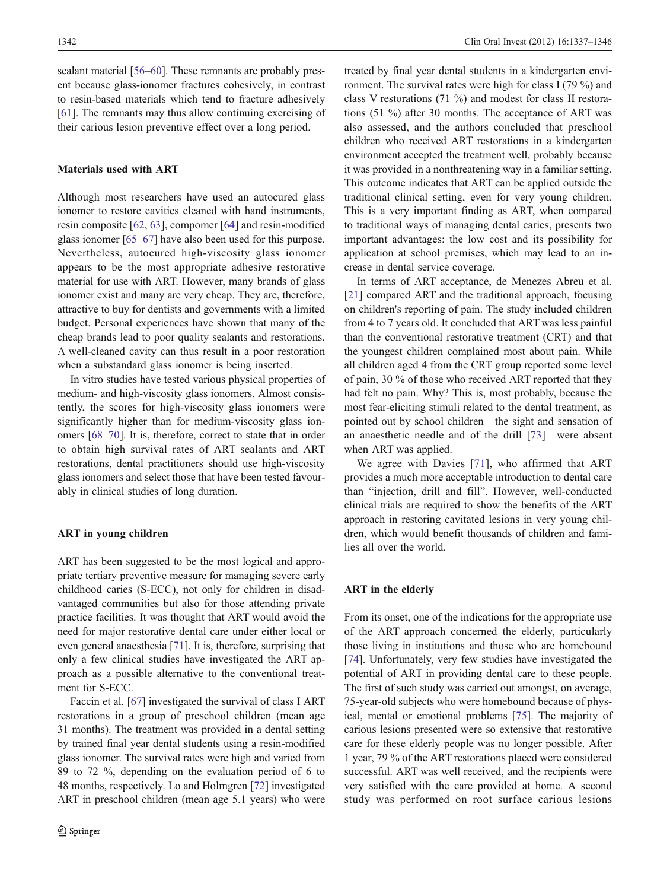sealant material [[56](#page-8-0)–[60\]](#page-8-0). These remnants are probably present because glass-ionomer fractures cohesively, in contrast to resin-based materials which tend to fracture adhesively [\[61](#page-8-0)]. The remnants may thus allow continuing exercising of their carious lesion preventive effect over a long period.

# Materials used with ART

Although most researchers have used an autocured glass ionomer to restore cavities cleaned with hand instruments, resin composite [[62,](#page-8-0) [63](#page-8-0)], compomer [\[64](#page-8-0)] and resin-modified glass ionomer [\[65](#page-9-0)–[67](#page-9-0)] have also been used for this purpose. Nevertheless, autocured high-viscosity glass ionomer appears to be the most appropriate adhesive restorative material for use with ART. However, many brands of glass ionomer exist and many are very cheap. They are, therefore, attractive to buy for dentists and governments with a limited budget. Personal experiences have shown that many of the cheap brands lead to poor quality sealants and restorations. A well-cleaned cavity can thus result in a poor restoration when a substandard glass ionomer is being inserted.

In vitro studies have tested various physical properties of medium- and high-viscosity glass ionomers. Almost consistently, the scores for high-viscosity glass ionomers were significantly higher than for medium-viscosity glass ionomers [\[68](#page-9-0)–[70](#page-9-0)]. It is, therefore, correct to state that in order to obtain high survival rates of ART sealants and ART restorations, dental practitioners should use high-viscosity glass ionomers and select those that have been tested favourably in clinical studies of long duration.

## ART in young children

ART has been suggested to be the most logical and appropriate tertiary preventive measure for managing severe early childhood caries (S-ECC), not only for children in disadvantaged communities but also for those attending private practice facilities. It was thought that ART would avoid the need for major restorative dental care under either local or even general anaesthesia [\[71](#page-9-0)]. It is, therefore, surprising that only a few clinical studies have investigated the ART approach as a possible alternative to the conventional treatment for S-ECC.

Faccin et al. [\[67](#page-9-0)] investigated the survival of class I ART restorations in a group of preschool children (mean age 31 months). The treatment was provided in a dental setting by trained final year dental students using a resin-modified glass ionomer. The survival rates were high and varied from 89 to 72 %, depending on the evaluation period of 6 to 48 months, respectively. Lo and Holmgren [[72\]](#page-9-0) investigated ART in preschool children (mean age 5.1 years) who were

treated by final year dental students in a kindergarten environment. The survival rates were high for class I (79 %) and class V restorations (71 %) and modest for class II restorations (51 %) after 30 months. The acceptance of ART was also assessed, and the authors concluded that preschool children who received ART restorations in a kindergarten environment accepted the treatment well, probably because it was provided in a nonthreatening way in a familiar setting. This outcome indicates that ART can be applied outside the traditional clinical setting, even for very young children. This is a very important finding as ART, when compared to traditional ways of managing dental caries, presents two important advantages: the low cost and its possibility for application at school premises, which may lead to an increase in dental service coverage.

In terms of ART acceptance, de Menezes Abreu et al. [\[21](#page-7-0)] compared ART and the traditional approach, focusing on children's reporting of pain. The study included children from 4 to 7 years old. It concluded that ART was less painful than the conventional restorative treatment (CRT) and that the youngest children complained most about pain. While all children aged 4 from the CRT group reported some level of pain, 30 % of those who received ART reported that they had felt no pain. Why? This is, most probably, because the most fear-eliciting stimuli related to the dental treatment, as pointed out by school children—the sight and sensation of an anaesthetic needle and of the drill [[73\]](#page-9-0)—were absent when ART was applied.

We agree with Davies [[71\]](#page-9-0), who affirmed that ART provides a much more acceptable introduction to dental care than "injection, drill and fill". However, well-conducted clinical trials are required to show the benefits of the ART approach in restoring cavitated lesions in very young children, which would benefit thousands of children and families all over the world.

## ART in the elderly

From its onset, one of the indications for the appropriate use of the ART approach concerned the elderly, particularly those living in institutions and those who are homebound [\[74](#page-9-0)]. Unfortunately, very few studies have investigated the potential of ART in providing dental care to these people. The first of such study was carried out amongst, on average, 75-year-old subjects who were homebound because of physical, mental or emotional problems [[75\]](#page-9-0). The majority of carious lesions presented were so extensive that restorative care for these elderly people was no longer possible. After 1 year, 79 % of the ART restorations placed were considered successful. ART was well received, and the recipients were very satisfied with the care provided at home. A second study was performed on root surface carious lesions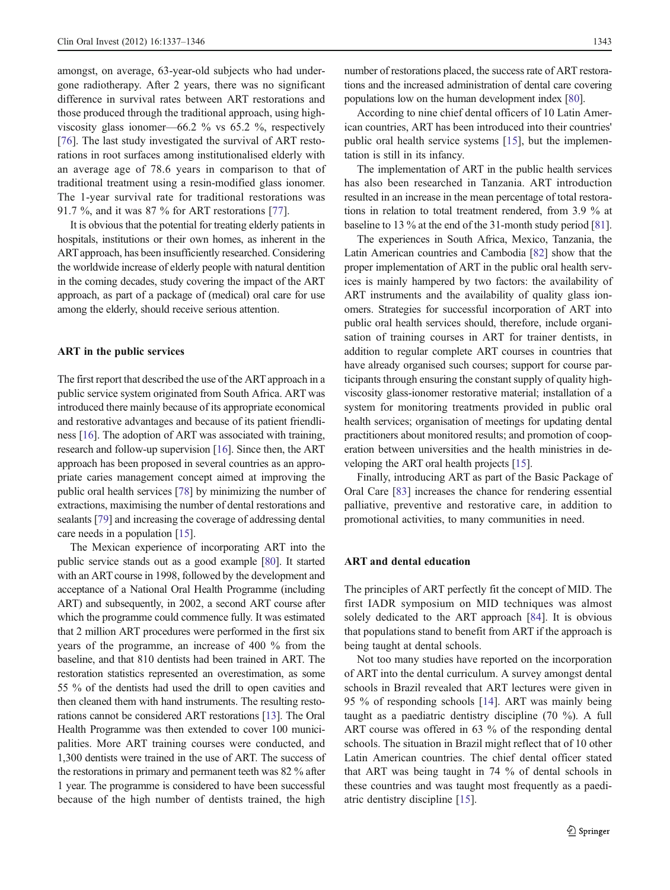amongst, on average, 63-year-old subjects who had undergone radiotherapy. After 2 years, there was no significant difference in survival rates between ART restorations and those produced through the traditional approach, using highviscosity glass ionomer—66.2 % vs 65.2 %, respectively [\[76](#page-9-0)]. The last study investigated the survival of ART restorations in root surfaces among institutionalised elderly with an average age of 78.6 years in comparison to that of traditional treatment using a resin-modified glass ionomer. The 1-year survival rate for traditional restorations was 91.7 %, and it was 87 % for ART restorations [\[77](#page-9-0)].

It is obvious that the potential for treating elderly patients in hospitals, institutions or their own homes, as inherent in the ART approach, has been insufficiently researched. Considering the worldwide increase of elderly people with natural dentition in the coming decades, study covering the impact of the ART approach, as part of a package of (medical) oral care for use among the elderly, should receive serious attention.

#### ART in the public services

The first report that described the use of the ART approach in a public service system originated from South Africa. ART was introduced there mainly because of its appropriate economical and restorative advantages and because of its patient friendliness [\[16](#page-7-0)]. The adoption of ART was associated with training, research and follow-up supervision [[16](#page-7-0)]. Since then, the ART approach has been proposed in several countries as an appropriate caries management concept aimed at improving the public oral health services [[78](#page-9-0)] by minimizing the number of extractions, maximising the number of dental restorations and sealants [[79\]](#page-9-0) and increasing the coverage of addressing dental care needs in a population [[15\]](#page-7-0).

The Mexican experience of incorporating ART into the public service stands out as a good example [\[80](#page-9-0)]. It started with an ART course in 1998, followed by the development and acceptance of a National Oral Health Programme (including ART) and subsequently, in 2002, a second ART course after which the programme could commence fully. It was estimated that 2 million ART procedures were performed in the first six years of the programme, an increase of 400 % from the baseline, and that 810 dentists had been trained in ART. The restoration statistics represented an overestimation, as some 55 % of the dentists had used the drill to open cavities and then cleaned them with hand instruments. The resulting restorations cannot be considered ART restorations [\[13\]](#page-7-0). The Oral Health Programme was then extended to cover 100 municipalities. More ART training courses were conducted, and 1,300 dentists were trained in the use of ART. The success of the restorations in primary and permanent teeth was 82 % after 1 year. The programme is considered to have been successful because of the high number of dentists trained, the high number of restorations placed, the success rate of ART restorations and the increased administration of dental care covering populations low on the human development index [\[80](#page-9-0)].

According to nine chief dental officers of 10 Latin American countries, ART has been introduced into their countries' public oral health service systems [\[15](#page-7-0)], but the implementation is still in its infancy.

The implementation of ART in the public health services has also been researched in Tanzania. ART introduction resulted in an increase in the mean percentage of total restorations in relation to total treatment rendered, from 3.9 % at baseline to 13 % at the end of the 31-month study period [[81\]](#page-9-0).

The experiences in South Africa, Mexico, Tanzania, the Latin American countries and Cambodia [\[82\]](#page-9-0) show that the proper implementation of ART in the public oral health services is mainly hampered by two factors: the availability of ART instruments and the availability of quality glass ionomers. Strategies for successful incorporation of ART into public oral health services should, therefore, include organisation of training courses in ART for trainer dentists, in addition to regular complete ART courses in countries that have already organised such courses; support for course participants through ensuring the constant supply of quality highviscosity glass-ionomer restorative material; installation of a system for monitoring treatments provided in public oral health services; organisation of meetings for updating dental practitioners about monitored results; and promotion of cooperation between universities and the health ministries in developing the ART oral health projects [\[15](#page-7-0)].

Finally, introducing ART as part of the Basic Package of Oral Care [\[83](#page-9-0)] increases the chance for rendering essential palliative, preventive and restorative care, in addition to promotional activities, to many communities in need.

# ART and dental education

The principles of ART perfectly fit the concept of MID. The first IADR symposium on MID techniques was almost solely dedicated to the ART approach [[84\]](#page-9-0). It is obvious that populations stand to benefit from ART if the approach is being taught at dental schools.

Not too many studies have reported on the incorporation of ART into the dental curriculum. A survey amongst dental schools in Brazil revealed that ART lectures were given in 95 % of responding schools [\[14](#page-7-0)]. ART was mainly being taught as a paediatric dentistry discipline (70 %). A full ART course was offered in 63 % of the responding dental schools. The situation in Brazil might reflect that of 10 other Latin American countries. The chief dental officer stated that ART was being taught in 74 % of dental schools in these countries and was taught most frequently as a paediatric dentistry discipline [[15\]](#page-7-0).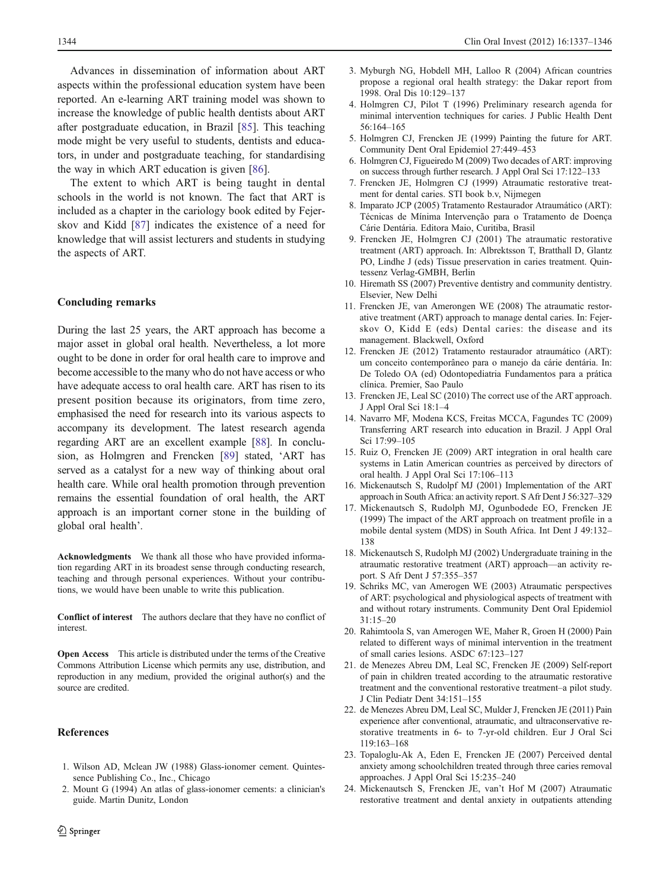<span id="page-7-0"></span>Advances in dissemination of information about ART aspects within the professional education system have been reported. An e-learning ART training model was shown to increase the knowledge of public health dentists about ART after postgraduate education, in Brazil [[85\]](#page-9-0). This teaching mode might be very useful to students, dentists and educators, in under and postgraduate teaching, for standardising the way in which ART education is given [\[86](#page-9-0)].

The extent to which ART is being taught in dental schools in the world is not known. The fact that ART is included as a chapter in the cariology book edited by Fejerskov and Kidd [[87\]](#page-9-0) indicates the existence of a need for knowledge that will assist lecturers and students in studying the aspects of ART.

## Concluding remarks

During the last 25 years, the ART approach has become a major asset in global oral health. Nevertheless, a lot more ought to be done in order for oral health care to improve and become accessible to the many who do not have access or who have adequate access to oral health care. ART has risen to its present position because its originators, from time zero, emphasised the need for research into its various aspects to accompany its development. The latest research agenda regarding ART are an excellent example [\[88\]](#page-9-0). In conclusion, as Holmgren and Frencken [\[89\]](#page-9-0) stated, 'ART has served as a catalyst for a new way of thinking about oral health care. While oral health promotion through prevention remains the essential foundation of oral health, the ART approach is an important corner stone in the building of global oral health'.

Acknowledgments We thank all those who have provided information regarding ART in its broadest sense through conducting research, teaching and through personal experiences. Without your contributions, we would have been unable to write this publication.

Conflict of interest The authors declare that they have no conflict of interest.

Open Access This article is distributed under the terms of the Creative Commons Attribution License which permits any use, distribution, and reproduction in any medium, provided the original author(s) and the source are credited.

# References

- 1. Wilson AD, Mclean JW (1988) Glass-ionomer cement. Quintessence Publishing Co., Inc., Chicago
- 2. Mount G (1994) An atlas of glass-ionomer cements: a clinician's guide. Martin Dunitz, London
- 3. Myburgh NG, Hobdell MH, Lalloo R (2004) African countries propose a regional oral health strategy: the Dakar report from 1998. Oral Dis 10:129–137
- 4. Holmgren CJ, Pilot T (1996) Preliminary research agenda for minimal intervention techniques for caries. J Public Health Dent 56:164–165
- 5. Holmgren CJ, Frencken JE (1999) Painting the future for ART. Community Dent Oral Epidemiol 27:449–453
- 6. Holmgren CJ, Figueiredo M (2009) Two decades of ART: improving on success through further research. J Appl Oral Sci 17:122–133
- 7. Frencken JE, Holmgren CJ (1999) Atraumatic restorative treatment for dental caries. STI book b.v, Nijmegen
- 8. Imparato JCP (2005) Tratamento Restaurador Atraumático (ART): Técnicas de Mínima Intervenção para o Tratamento de Doença Cárie Dentária. Editora Maio, Curitiba, Brasil
- 9. Frencken JE, Holmgren CJ (2001) The atraumatic restorative treatment (ART) approach. In: Albrektsson T, Bratthall D, Glantz PO, Lindhe J (eds) Tissue preservation in caries treatment. Quintessenz Verlag-GMBH, Berlin
- 10. Hiremath SS (2007) Preventive dentistry and community dentistry. Elsevier, New Delhi
- 11. Frencken JE, van Amerongen WE (2008) The atraumatic restorative treatment (ART) approach to manage dental caries. In: Fejerskov O, Kidd E (eds) Dental caries: the disease and its management. Blackwell, Oxford
- 12. Frencken JE (2012) Tratamento restaurador atraumático (ART): um conceito contemporâneo para o manejo da cárie dentária. In: De Toledo OA (ed) Odontopediatria Fundamentos para a prática clínica. Premier, Sao Paulo
- 13. Frencken JE, Leal SC (2010) The correct use of the ART approach. J Appl Oral Sci 18:1–4
- 14. Navarro MF, Modena KCS, Freitas MCCA, Fagundes TC (2009) Transferring ART research into education in Brazil. J Appl Oral Sci 17:99–105
- 15. Ruiz O, Frencken JE (2009) ART integration in oral health care systems in Latin American countries as perceived by directors of oral health. J Appl Oral Sci 17:106–113
- 16. Mickenautsch S, Rudolpf MJ (2001) Implementation of the ART approach in South Africa: an activity report. S Afr Dent J 56:327–329
- 17. Mickenautsch S, Rudolph MJ, Ogunbodede EO, Frencken JE (1999) The impact of the ART approach on treatment profile in a mobile dental system (MDS) in South Africa. Int Dent J 49:132– 138
- 18. Mickenautsch S, Rudolph MJ (2002) Undergraduate training in the atraumatic restorative treatment (ART) approach—an activity report. S Afr Dent J 57:355–357
- 19. Schriks MC, van Amerogen WE (2003) Atraumatic perspectives of ART: psychological and physiological aspects of treatment with and without rotary instruments. Community Dent Oral Epidemiol 31:15–20
- 20. Rahimtoola S, van Amerogen WE, Maher R, Groen H (2000) Pain related to different ways of minimal intervention in the treatment of small caries lesions. ASDC 67:123–127
- 21. de Menezes Abreu DM, Leal SC, Frencken JE (2009) Self-report of pain in children treated according to the atraumatic restorative treatment and the conventional restorative treatment–a pilot study. J Clin Pediatr Dent 34:151–155
- 22. de Menezes Abreu DM, Leal SC, Mulder J, Frencken JE (2011) Pain experience after conventional, atraumatic, and ultraconservative restorative treatments in 6- to 7-yr-old children. Eur J Oral Sci 119:163–168
- 23. Topaloglu-Ak A, Eden E, Frencken JE (2007) Perceived dental anxiety among schoolchildren treated through three caries removal approaches. J Appl Oral Sci 15:235–240
- 24. Mickenautsch S, Frencken JE, van't Hof M (2007) Atraumatic restorative treatment and dental anxiety in outpatients attending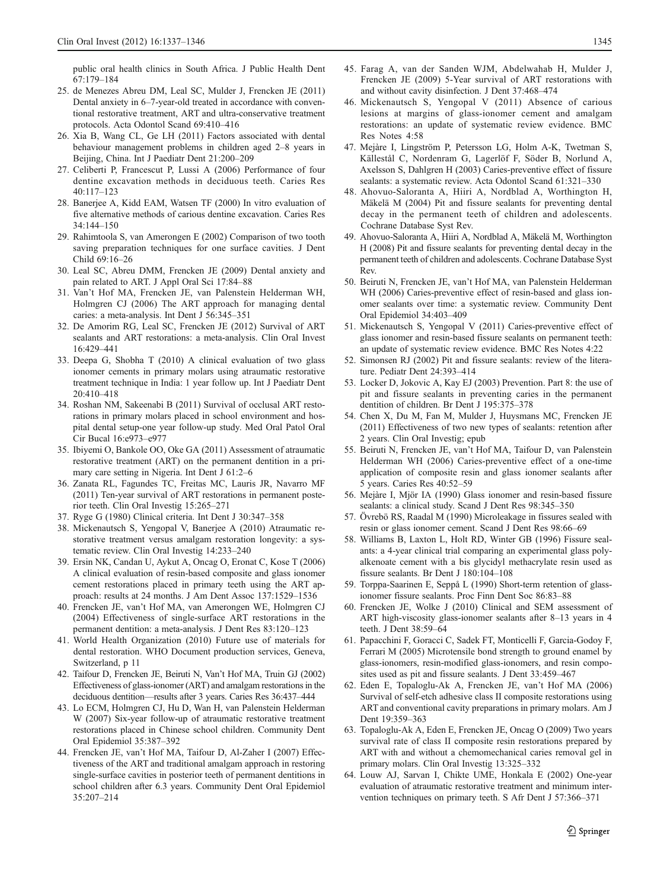<span id="page-8-0"></span>public oral health clinics in South Africa. J Public Health Dent 67:179–184

- 25. de Menezes Abreu DM, Leal SC, Mulder J, Frencken JE (2011) Dental anxiety in 6–7-year-old treated in accordance with conventional restorative treatment, ART and ultra-conservative treatment protocols. Acta Odontol Scand 69:410–416
- 26. Xia B, Wang CL, Ge LH (2011) Factors associated with dental behaviour management problems in children aged 2–8 years in Beijing, China. Int J Paediatr Dent 21:200–209
- 27. Celiberti P, Francescut P, Lussi A (2006) Performance of four dentine excavation methods in deciduous teeth. Caries Res 40:117–123
- 28. Banerjee A, Kidd EAM, Watsen TF (2000) In vitro evaluation of five alternative methods of carious dentine excavation. Caries Res 34:144–150
- 29. Rahimtoola S, van Amerongen E (2002) Comparison of two tooth saving preparation techniques for one surface cavities. J Dent Child 69:16–26
- 30. Leal SC, Abreu DMM, Frencken JE (2009) Dental anxiety and pain related to ART. J Appl Oral Sci 17:84–88
- 31. Van't Hof MA, Frencken JE, van Palenstein Helderman WH, Holmgren CJ (2006) The ART approach for managing dental caries: a meta-analysis. Int Dent J 56:345–351
- 32. De Amorim RG, Leal SC, Frencken JE (2012) Survival of ART sealants and ART restorations: a meta-analysis. Clin Oral Invest 16:429–441
- 33. Deepa G, Shobha T (2010) A clinical evaluation of two glass ionomer cements in primary molars using atraumatic restorative treatment technique in India: 1 year follow up. Int J Paediatr Dent 20:410–418
- 34. Roshan NM, Sakeenabi B (2011) Survival of occlusal ART restorations in primary molars placed in school environment and hospital dental setup-one year follow-up study. Med Oral Patol Oral Cir Bucal 16:e973–e977
- 35. Ibiyemi O, Bankole OO, Oke GA (2011) Assessment of atraumatic restorative treatment (ART) on the permanent dentition in a primary care setting in Nigeria. Int Dent J 61:2–6
- 36. Zanata RL, Fagundes TC, Freitas MC, Lauris JR, Navarro MF (2011) Ten-year survival of ART restorations in permanent posterior teeth. Clin Oral Investig 15:265–271
- 37. Ryge G (1980) Clinical criteria. Int Dent J 30:347–358
- 38. Mickenautsch S, Yengopal V, Banerjee A (2010) Atraumatic restorative treatment versus amalgam restoration longevity: a systematic review. Clin Oral Investig 14:233–240
- 39. Ersin NK, Candan U, Aykut A, Oncag O, Eronat C, Kose T (2006) A clinical evaluation of resin-based composite and glass ionomer cement restorations placed in primary teeth using the ART approach: results at 24 months. J Am Dent Assoc 137:1529–1536
- 40. Frencken JE, van't Hof MA, van Amerongen WE, Holmgren CJ (2004) Effectiveness of single-surface ART restorations in the permanent dentition: a meta-analysis. J Dent Res 83:120–123
- 41. World Health Organization (2010) Future use of materials for dental restoration. WHO Document production services, Geneva, Switzerland, p 11
- 42. Taifour D, Frencken JE, Beiruti N, Van't Hof MA, Truin GJ (2002) Effectiveness of glass-ionomer (ART) and amalgam restorations in the deciduous dentition—results after 3 years. Caries Res 36:437–444
- 43. Lo ECM, Holmgren CJ, Hu D, Wan H, van Palenstein Helderman W (2007) Six-year follow-up of atraumatic restorative treatment restorations placed in Chinese school children. Community Dent Oral Epidemiol 35:387–392
- 44. Frencken JE, van't Hof MA, Taifour D, Al-Zaher I (2007) Effectiveness of the ART and traditional amalgam approach in restoring single-surface cavities in posterior teeth of permanent dentitions in school children after 6.3 years. Community Dent Oral Epidemiol 35:207–214
- 45. Farag A, van der Sanden WJM, Abdelwahab H, Mulder J, Frencken JE (2009) 5-Year survival of ART restorations with and without cavity disinfection. J Dent 37:468–474
- 46. Mickenautsch S, Yengopal V (2011) Absence of carious lesions at margins of glass-ionomer cement and amalgam restorations: an update of systematic review evidence. BMC Res Notes 4:58
- 47. Mejàre I, Lingström P, Petersson LG, Holm A-K, Twetman S, Källestål C, Nordenram G, Lagerlöf F, Söder B, Norlund A, Axelsson S, Dahlgren H (2003) Caries-preventive effect of fissure sealants: a systematic review. Acta Odontol Scand 61:321–330
- 48. Ahovuo-Saloranta A, Hiiri A, Nordblad A, Worthington H, Mäkelä M (2004) Pit and fissure sealants for preventing dental decay in the permanent teeth of children and adolescents. Cochrane Database Syst Rev.
- 49. Ahovuo-Saloranta A, Hiiri A, Nordblad A, Mäkelä M, Worthington H (2008) Pit and fissure sealants for preventing dental decay in the permanent teeth of children and adolescents. Cochrane Database Syst Rev.
- 50. Beiruti N, Frencken JE, van't Hof MA, van Palenstein Helderman WH (2006) Caries-preventive effect of resin-based and glass ionomer sealants over time: a systematic review. Community Dent Oral Epidemiol 34:403–409
- 51. Mickenautsch S, Yengopal V (2011) Caries-preventive effect of glass ionomer and resin-based fissure sealants on permanent teeth: an update of systematic review evidence. BMC Res Notes 4:22
- 52. Simonsen RJ (2002) Pit and fissure sealants: review of the literature. Pediatr Dent 24:393–414
- 53. Locker D, Jokovic A, Kay EJ (2003) Prevention. Part 8: the use of pit and fissure sealants in preventing caries in the permanent dentition of children. Br Dent J 195:375–378
- 54. Chen X, Du M, Fan M, Mulder J, Huysmans MC, Frencken JE (2011) Effectiveness of two new types of sealants: retention after 2 years. Clin Oral Investig; epub
- 55. Beiruti N, Frencken JE, van't Hof MA, Taifour D, van Palenstein Helderman WH (2006) Caries-preventive effect of a one-time application of composite resin and glass ionomer sealants after 5 years. Caries Res 40:52–59
- 56. Mejàre I, Mjör IA (1990) Glass ionomer and resin-based fissure sealants: a clinical study. Scand J Dent Res 98:345–350
- 57. Övrebö RS, Raadal M (1990) Microleakage in fissures sealed with resin or glass ionomer cement. Scand J Dent Res 98:66–69
- 58. Williams B, Laxton L, Holt RD, Winter GB (1996) Fissure sealants: a 4-year clinical trial comparing an experimental glass polyalkenoate cement with a bis glycidyl methacrylate resin used as fissure sealants. Br Dent J 180:104–108
- 59. Torppa-Saarinen E, Seppå L (1990) Short-term retention of glassionomer fissure sealants. Proc Finn Dent Soc 86:83–88
- 60. Frencken JE, Wolke J (2010) Clinical and SEM assessment of ART high-viscosity glass-ionomer sealants after 8–13 years in 4 teeth. J Dent 38:59–64
- 61. Papacchini F, Goracci C, Sadek FT, Monticelli F, Garcia-Godoy F, Ferrari M (2005) Microtensile bond strength to ground enamel by glass-ionomers, resin-modified glass-ionomers, and resin composites used as pit and fissure sealants. J Dent 33:459–467
- 62. Eden E, Topaloglu-Ak A, Frencken JE, van't Hof MA (2006) Survival of self-etch adhesive class II composite restorations using ART and conventional cavity preparations in primary molars. Am J Dent 19:359–363
- 63. Topaloglu-Ak A, Eden E, Frencken JE, Oncag O (2009) Two years survival rate of class II composite resin restorations prepared by ART with and without a chemomechanical caries removal gel in primary molars. Clin Oral Investig 13:325–332
- 64. Louw AJ, Sarvan I, Chikte UME, Honkala E (2002) One-year evaluation of atraumatic restorative treatment and minimum intervention techniques on primary teeth. S Afr Dent J 57:366–371